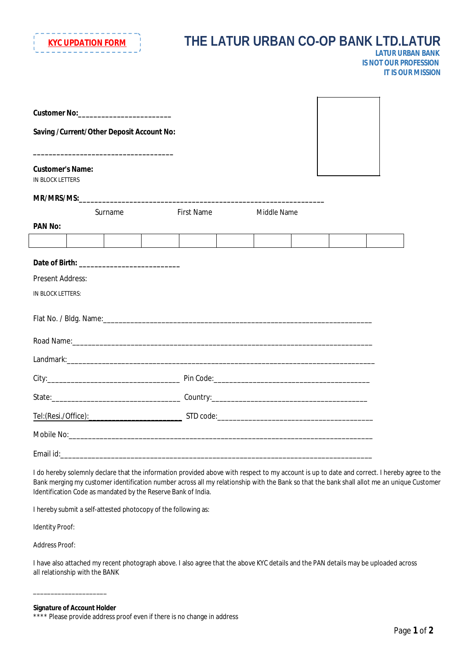

# **THE LATUR URBAN CO-OP BANK LTD.LATUR** *LATUR URBAN BANK IS NOT OUR PROFESSION*

| LATED MORE CAN CAPACITY CAN THE |
|---------------------------------|
| <b>IS NOT OUR PROFESSION</b>    |
| <b>IT IS OUR MISSION</b>        |

|                                                    | Customer No:_________________________      |                   |             |  |  |
|----------------------------------------------------|--------------------------------------------|-------------------|-------------|--|--|
|                                                    | Saving / Current/Other Deposit Account No: |                   |             |  |  |
| <b>Customer's Name:</b><br><b>IN BLOCK LETTERS</b> |                                            |                   |             |  |  |
|                                                    |                                            |                   |             |  |  |
|                                                    | Surname                                    | <b>First Name</b> | Middle Name |  |  |
| <b>PAN No:</b>                                     |                                            |                   |             |  |  |
|                                                    |                                            |                   |             |  |  |
|                                                    |                                            |                   |             |  |  |
| <b>Present Address:</b>                            |                                            |                   |             |  |  |
| IN BLOCK LETTERS:                                  |                                            |                   |             |  |  |
|                                                    |                                            |                   |             |  |  |
|                                                    |                                            |                   |             |  |  |
|                                                    |                                            |                   |             |  |  |
|                                                    |                                            |                   |             |  |  |
|                                                    |                                            |                   |             |  |  |
|                                                    |                                            |                   |             |  |  |
|                                                    |                                            |                   |             |  |  |
|                                                    |                                            |                   |             |  |  |

I do hereby solemnly declare that the information provided above with respect to my account is up to date and correct. I hereby agree to the Bank merging my customer identification number across all my relationship with the Bank so that the bank shall allot me an unique Customer Identification Code as mandated by the Reserve Bank of India.

I hereby submit a self-attested photocopy of the following as:

Identity Proof:

Address Proof:

I have also attached my recent photograph above. I also agree that the above KYC details and the PAN details may be uploaded across all relationship with the BANK

\_\_\_\_\_\_\_\_\_\_\_\_\_\_\_\_\_\_\_\_\_

**Signature of Account Holder**

<sup>\*\*\*\*</sup> Please provide address proof even if there is no change in address